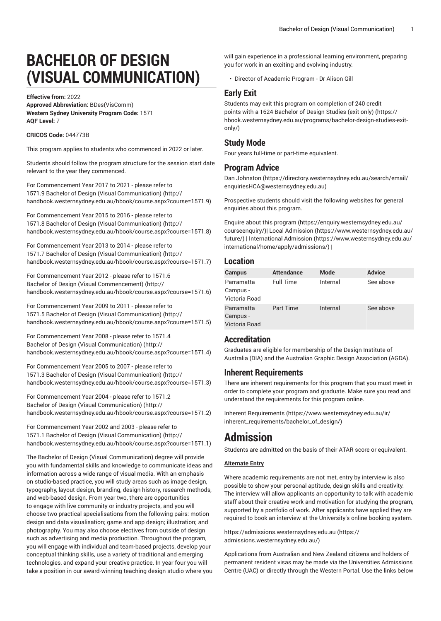# **BACHELOR OF DESIGN (VISUAL COMMUNICATION)**

**Effective from:** 2022

**Approved Abbreviation:** BDes(VisComm) **Western Sydney University Program Code:** 1571 **AQF Level:** 7

#### **CRICOS Code:** 044773B

This program applies to students who commenced in 2022 or later.

Students should follow the program structure for the session start date relevant to the year they commenced.

For [Commencement](http://handbook.westernsydney.edu.au/hbook/course.aspx?course=1571.9) Year 2017 to 2021 - please refer to 1571.9 Bachelor of Design (Visual [Communication\)](http://handbook.westernsydney.edu.au/hbook/course.aspx?course=1571.9) ([http://](http://handbook.westernsydney.edu.au/hbook/course.aspx?course=1571.9) [handbook.westernsydney.edu.au/hbook/course.aspx?course=1571.9\)](http://handbook.westernsydney.edu.au/hbook/course.aspx?course=1571.9)

For [Commencement](http://handbook.westernsydney.edu.au/hbook/course.aspx?course=1571.8) Year 2015 to 2016 - please refer to 1571.8 Bachelor of Design (Visual [Communication\)](http://handbook.westernsydney.edu.au/hbook/course.aspx?course=1571.8) ([http://](http://handbook.westernsydney.edu.au/hbook/course.aspx?course=1571.8) [handbook.westernsydney.edu.au/hbook/course.aspx?course=1571.8\)](http://handbook.westernsydney.edu.au/hbook/course.aspx?course=1571.8)

For [Commencement](http://handbook.westernsydney.edu.au/hbook/course.aspx?course=1571.7) Year 2013 to 2014 - please refer to 1571.7 Bachelor of Design (Visual [Communication\)](http://handbook.westernsydney.edu.au/hbook/course.aspx?course=1571.7) ([http://](http://handbook.westernsydney.edu.au/hbook/course.aspx?course=1571.7) [handbook.westernsydney.edu.au/hbook/course.aspx?course=1571.7\)](http://handbook.westernsydney.edu.au/hbook/course.aspx?course=1571.7)

For [Commencement](http://handbook.westernsydney.edu.au/hbook/course.aspx?course=1571.6) Year 2012 - please refer to 1571.6 Bachelor of Design (Visual [Commencement\) \(http://](http://handbook.westernsydney.edu.au/hbook/course.aspx?course=1571.6) [handbook.westernsydney.edu.au/hbook/course.aspx?course=1571.6\)](http://handbook.westernsydney.edu.au/hbook/course.aspx?course=1571.6)

For [Commencement](http://handbook.westernsydney.edu.au/hbook/course.aspx?course=1571.5) Year 2009 to 2011 - please refer to 1571.5 Bachelor of Design (Visual [Communication\)](http://handbook.westernsydney.edu.au/hbook/course.aspx?course=1571.5) ([http://](http://handbook.westernsydney.edu.au/hbook/course.aspx?course=1571.5) [handbook.westernsydney.edu.au/hbook/course.aspx?course=1571.5\)](http://handbook.westernsydney.edu.au/hbook/course.aspx?course=1571.5)

For [Commencement](http://handbook.westernsydney.edu.au/hbook/course.aspx?course=1571.4) Year 2008 - please refer to 1571.4 Bachelor of Design (Visual [Communication\) \(http://](http://handbook.westernsydney.edu.au/hbook/course.aspx?course=1571.4) [handbook.westernsydney.edu.au/hbook/course.aspx?course=1571.4\)](http://handbook.westernsydney.edu.au/hbook/course.aspx?course=1571.4)

For [Commencement](http://handbook.westernsydney.edu.au/hbook/course.aspx?course=1571.3) Year 2005 to 2007 - please refer to 1571.3 Bachelor of Design (Visual [Communication\)](http://handbook.westernsydney.edu.au/hbook/course.aspx?course=1571.3) ([http://](http://handbook.westernsydney.edu.au/hbook/course.aspx?course=1571.3) [handbook.westernsydney.edu.au/hbook/course.aspx?course=1571.3\)](http://handbook.westernsydney.edu.au/hbook/course.aspx?course=1571.3)

For [Commencement](http://handbook.westernsydney.edu.au/hbook/course.aspx?course=1571.2) Year 2004 - please refer to 1571.2 Bachelor of Design (Visual [Communication\) \(http://](http://handbook.westernsydney.edu.au/hbook/course.aspx?course=1571.2) [handbook.westernsydney.edu.au/hbook/course.aspx?course=1571.2\)](http://handbook.westernsydney.edu.au/hbook/course.aspx?course=1571.2)

For [Commencement](http://handbook.westernsydney.edu.au/hbook/course.aspx?course=1571.1) Year 2002 and 2003 - please refer to 1571.1 Bachelor of Design (Visual [Communication\)](http://handbook.westernsydney.edu.au/hbook/course.aspx?course=1571.1) ([http://](http://handbook.westernsydney.edu.au/hbook/course.aspx?course=1571.1) [handbook.westernsydney.edu.au/hbook/course.aspx?course=1571.1\)](http://handbook.westernsydney.edu.au/hbook/course.aspx?course=1571.1)

The Bachelor of Design (Visual Communication) degree will provide you with fundamental skills and knowledge to communicate ideas and information across a wide range of visual media. With an emphasis on studio-based practice, you will study areas such as image design, typography, layout design, branding, design history, research methods, and web-based design. From year two, there are opportunities to engage with live community or industry projects, and you will choose two practical specialisations from the following pairs: motion design and data visualisation; game and app design; illustration; and photography. You may also choose electives from outside of design such as advertising and media production. Throughout the program, you will engage with individual and team-based projects, develop your conceptual thinking skills, use a variety of traditional and emerging technologies, and expand your creative practice. In year four you will take a position in our award-winning teaching design studio where you

will gain experience in a professional learning environment, preparing you for work in an exciting and evolving industry.

• Director of Academic Program - Dr Alison Gill

# **Early Exit**

Students may exit this program on completion of 240 credit points with a [1624 Bachelor of Design Studies \(exit only\)](https://hbook.westernsydney.edu.au/programs/bachelor-design-studies-exit-only/) ([https://](https://hbook.westernsydney.edu.au/programs/bachelor-design-studies-exit-only/) [hbook.westernsydney.edu.au/programs/bachelor-design-studies-exit](https://hbook.westernsydney.edu.au/programs/bachelor-design-studies-exit-only/)[only/\)](https://hbook.westernsydney.edu.au/programs/bachelor-design-studies-exit-only/)

## **Study Mode**

Four years full-time or part-time equivalent.

## **Program Advice**

[Dan Johnston](https://directory.westernsydney.edu.au/search/email/enquiriesHCA@westernsydney.edu.au) [\(https://directory.westernsydney.edu.au/search/email/](https://directory.westernsydney.edu.au/search/email/enquiriesHCA@westernsydney.edu.au) [enquiriesHCA@westernsydney.edu.au](https://directory.westernsydney.edu.au/search/email/enquiriesHCA@westernsydney.edu.au))

Prospective students should visit the following websites for general enquiries about this program.

Enquire about this [program](https://enquiry.westernsydney.edu.au/courseenquiry/) ([https://enquiry.westernsydney.edu.au/](https://enquiry.westernsydney.edu.au/courseenquiry/) [courseenquiry/\)](https://enquiry.westernsydney.edu.au/courseenquiry/)| [Local Admission](https://www.westernsydney.edu.au/future/) ([https://www.westernsydney.edu.au/](https://www.westernsydney.edu.au/future/) [future/](https://www.westernsydney.edu.au/future/)) | [International Admission \(https://www.westernsydney.edu.au/](https://www.westernsydney.edu.au/international/home/apply/admissions/) [international/home/apply/admissions/](https://www.westernsydney.edu.au/international/home/apply/admissions/)) |

#### **Location**

| <b>Campus</b>                           | <b>Attendance</b> | <b>Mode</b> | <b>Advice</b> |
|-----------------------------------------|-------------------|-------------|---------------|
| Parramatta<br>Campus -<br>Victoria Road | <b>Full Time</b>  | Internal    | See above     |
| Parramatta<br>Campus -<br>Victoria Road | <b>Part Time</b>  | Internal    | See above     |

# **Accreditation**

Graduates are eligible for membership of the Design Institute of Australia (DIA) and the Australian Graphic Design Association (AGDA).

## **Inherent Requirements**

There are inherent requirements for this program that you must meet in order to complete your program and graduate. Make sure you read and understand the requirements for this program online.

Inherent [Requirements](https://www.westernsydney.edu.au/ir/inherent_requirements/bachelor_of_design/) ([https://www.westernsydney.edu.au/ir/](https://www.westernsydney.edu.au/ir/inherent_requirements/bachelor_of_design/) [inherent\\_requirements/bachelor\\_of\\_design/](https://www.westernsydney.edu.au/ir/inherent_requirements/bachelor_of_design/))

# **Admission**

Students are admitted on the basis of their ATAR score or equivalent.

#### **Alternate Entry**

Where academic requirements are not met, entry by interview is also possible to show your personal aptitude, design skills and creativity. The interview will allow applicants an opportunity to talk with academic staff about their creative work and motivation for studying the program, supported by a portfolio of work. After applicants have applied they are required to book an interview at the University's online booking system.

[https://admissions.westernsydney.edu.au](https://admissions.westernsydney.edu.au/) ([https://](https://admissions.westernsydney.edu.au/) [admissions.westernsydney.edu.au/](https://admissions.westernsydney.edu.au/))

Applications from Australian and New Zealand citizens and holders of permanent resident visas may be made via the Universities Admissions Centre (UAC) or directly through the Western Portal. Use the links below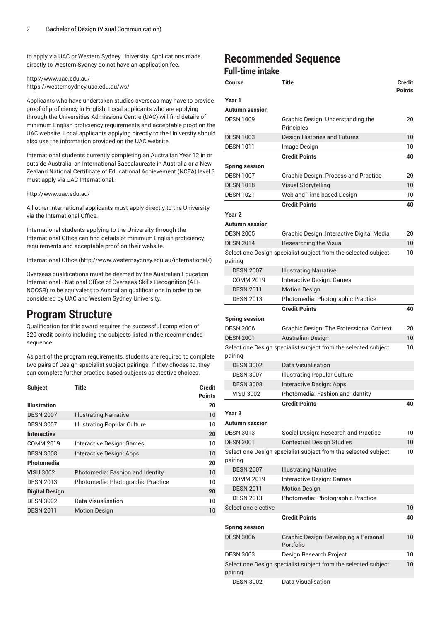to apply via UAC or Western Sydney University. Applications made directly to Western Sydney do not have an application fee.

#### <http://www.uac.edu.au/> <https://westernsydney.uac.edu.au/ws/>

Applicants who have undertaken studies overseas may have to provide proof of proficiency in English. Local applicants who are applying through the Universities Admissions Centre (UAC) will find details of minimum English proficiency requirements and acceptable proof on the UAC website. Local applicants applying directly to the University should also use the information provided on the UAC website.

International students currently completing an Australian Year 12 in or outside Australia, an International Baccalaureate in Australia or a New Zealand National Certificate of Educational Achievement (NCEA) level 3 must apply via UAC International.

#### <http://www.uac.edu.au/>

All other International applicants must apply directly to the University via the International Office.

International students applying to the University through the International Office can find details of minimum English proficiency requirements and acceptable proof on their website.

[International Office \(http://www.westernsydney.edu.au/international/\)](http://www.westernsydney.edu.au/international/)

Overseas qualifications must be deemed by the Australian Education International - National Office of Overseas Skills Recognition (AEI-NOOSR) to be equivalent to Australian qualifications in order to be considered by UAC and Western Sydney University.

# **Program Structure**

Qualification for this award requires the successful completion of 320 credit points including the subjects listed in the recommended sequence.

As part of the program requirements, students are required to complete two pairs of Design specialist subject pairings. If they choose to, they can complete further practice-based subjects as elective choices.

| <b>Subject</b>        | <b>Title</b>                      | <b>Credit</b><br><b>Points</b> |
|-----------------------|-----------------------------------|--------------------------------|
| <b>Illustration</b>   |                                   | 20                             |
| <b>DESN 2007</b>      | <b>Illustrating Narrative</b>     | 10                             |
| <b>DESN 3007</b>      | Illustrating Popular Culture      | 10                             |
| <b>Interactive</b>    |                                   | 20                             |
| COMM 2019             | Interactive Design: Games         | 10                             |
| <b>DESN 3008</b>      | Interactive Design: Apps          | 10                             |
| Photomedia            |                                   | 20                             |
| <b>VISU 3002</b>      | Photomedia: Fashion and Identity  | 10                             |
| <b>DESN 2013</b>      | Photomedia: Photographic Practice | 10                             |
| <b>Digital Design</b> |                                   | 20                             |
| <b>DESN 3002</b>      | Data Visualisation                | 10                             |
| <b>DESN 2011</b>      | <b>Motion Design</b>              | 10                             |

# **Recommended Sequence**

# **Full-time intake**

| Course                | Title                                                          | <b>Credit</b><br><b>Points</b> |
|-----------------------|----------------------------------------------------------------|--------------------------------|
| Year 1                |                                                                |                                |
| Autumn session        |                                                                |                                |
| <b>DESN 1009</b>      | Graphic Design: Understanding the<br>Principles                | 20                             |
| <b>DESN 1003</b>      | Design Histories and Futures                                   | 10                             |
| <b>DESN 1011</b>      | Image Design                                                   | 10                             |
|                       | <b>Credit Points</b>                                           | 40                             |
| <b>Spring session</b> |                                                                |                                |
| <b>DESN 1007</b>      | <b>Graphic Design: Process and Practice</b>                    | 20                             |
| <b>DESN 1018</b>      | <b>Visual Storytelling</b>                                     | 10                             |
| <b>DESN 1021</b>      | Web and Time-based Design                                      | 10                             |
|                       | <b>Credit Points</b>                                           | 40                             |
| Year <sub>2</sub>     |                                                                |                                |
| Autumn session        |                                                                |                                |
| <b>DESN 2005</b>      | Graphic Design: Interactive Digital Media                      | 20                             |
| <b>DESN 2014</b>      | <b>Researching the Visual</b>                                  | 10                             |
| pairing               | Select one Design specialist subject from the selected subject | 10                             |
| <b>DESN 2007</b>      | <b>Illustrating Narrative</b>                                  |                                |
| <b>COMM 2019</b>      | Interactive Design: Games                                      |                                |
| <b>DESN 2011</b>      | <b>Motion Design</b>                                           |                                |
| <b>DESN 2013</b>      | Photomedia: Photographic Practice                              |                                |
|                       | <b>Credit Points</b>                                           | 40                             |
| <b>Spring session</b> |                                                                |                                |
| <b>DESN 2006</b>      | <b>Graphic Design: The Professional Context</b>                | 20                             |
| <b>DESN 2001</b>      | <b>Australian Design</b>                                       | 10                             |
| pairing               | Select one Design specialist subject from the selected subject | 10                             |
| <b>DESN 3002</b>      | Data Visualisation                                             |                                |
| <b>DESN 3007</b>      | <b>Illustrating Popular Culture</b>                            |                                |
| <b>DESN 3008</b>      | Interactive Design: Apps                                       |                                |
| <b>VISU 3002</b>      | Photomedia: Fashion and Identity                               |                                |
|                       | <b>Credit Points</b>                                           | 40                             |
| Year 3                |                                                                |                                |
| Autumn session        |                                                                |                                |
| <b>DESN 3013</b>      | Social Design: Research and Practice                           | 10                             |
| <b>DESN 3001</b>      | <b>Contextual Design Studies</b>                               | 10 <sup>°</sup>                |
| pairing               | Select one Design specialist subject from the selected subject | 10                             |
| <b>DESN 2007</b>      | <b>Illustrating Narrative</b>                                  |                                |
| COMM 2019             | Interactive Design: Games                                      |                                |
| <b>DESN 2011</b>      | <b>Motion Design</b>                                           |                                |
| <b>DESN 2013</b>      | Photomedia: Photographic Practice                              |                                |
| Select one elective   |                                                                | 10                             |
|                       | <b>Credit Points</b>                                           | 40                             |
| <b>Spring session</b> |                                                                |                                |
| <b>DESN 3006</b>      | Graphic Design: Developing a Personal<br>Portfolio             | 10                             |
| <b>DESN 3003</b>      | Design Research Project                                        | 10                             |
| pairing               | Select one Design specialist subject from the selected subject | 10                             |
| <b>DESN 3002</b>      | Data Visualisation                                             |                                |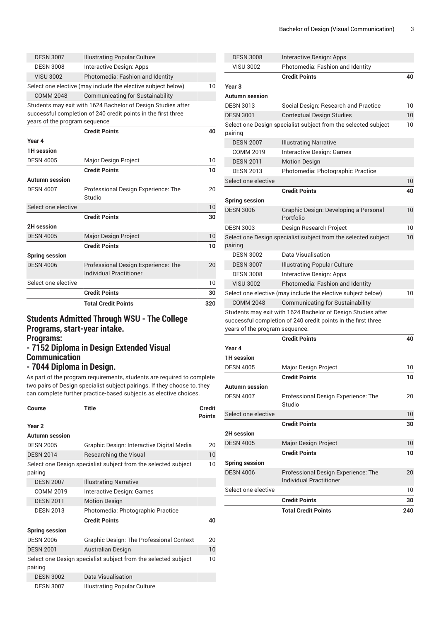|                                           | <b>Total Credit Points</b>                                                                                                    | 320 |
|-------------------------------------------|-------------------------------------------------------------------------------------------------------------------------------|-----|
|                                           | <b>Credit Points</b>                                                                                                          | 30  |
| Select one elective                       |                                                                                                                               | 10  |
| <b>DESN 4006</b>                          | Professional Design Experience: The<br><b>Individual Practitioner</b>                                                         | 20  |
| <b>Spring session</b>                     | <b>Credit Points</b>                                                                                                          | 10  |
| <b>DESN 4005</b>                          | <b>Major Design Project</b>                                                                                                   | 10  |
| 2H session                                |                                                                                                                               |     |
|                                           | <b>Credit Points</b>                                                                                                          | 30  |
| Select one elective                       |                                                                                                                               | 10  |
| <b>Autumn session</b><br><b>DESN 4007</b> | Professional Design Experience: The<br>Studio                                                                                 | 20  |
|                                           | <b>Credit Points</b>                                                                                                          | 10  |
| <b>DESN 4005</b>                          | Major Design Project                                                                                                          | 10  |
| 1H session                                |                                                                                                                               |     |
| Year 4                                    |                                                                                                                               |     |
|                                           | <b>Credit Points</b>                                                                                                          | 40  |
| years of the program sequence             | Students may exit with 1624 Bachelor of Design Studies after<br>successful completion of 240 credit points in the first three |     |
| <b>COMM 2048</b>                          | <b>Communicating for Sustainability</b>                                                                                       |     |
|                                           | Select one elective (may include the elective subject below)                                                                  | 10  |
| <b>VISU 3002</b>                          | Photomedia: Fashion and Identity                                                                                              |     |
| <b>DESN 3008</b>                          | Interactive Design: Apps                                                                                                      |     |
| <b>DESN 3007</b>                          | <b>Illustrating Popular Culture</b>                                                                                           |     |

# **Students Admitted Through WSU - The College Programs, start-year intake. Programs:**

# **- 7152 Diploma in Design Extended Visual Communication - 7044 Diploma in Design.**

As part of the program requirements, students are required to complete two pairs of Design specialist subject pairings. If they choose to, they can complete further practice-based subjects as elective choices.

| Course                | <b>Title</b>                                                   | <b>Credit</b><br><b>Points</b> |
|-----------------------|----------------------------------------------------------------|--------------------------------|
| Year <sub>2</sub>     |                                                                |                                |
| <b>Autumn session</b> |                                                                |                                |
| <b>DESN 2005</b>      | Graphic Design: Interactive Digital Media                      | 20                             |
| <b>DESN 2014</b>      | <b>Researching the Visual</b>                                  | 10                             |
| pairing               | Select one Design specialist subject from the selected subject | 10                             |
| <b>DESN 2007</b>      | <b>Illustrating Narrative</b>                                  |                                |
| COMM 2019             | Interactive Design: Games                                      |                                |
| <b>DESN 2011</b>      | <b>Motion Design</b>                                           |                                |
| <b>DESN 2013</b>      | Photomedia: Photographic Practice                              |                                |
|                       | <b>Credit Points</b>                                           | 40                             |
| <b>Spring session</b> |                                                                |                                |
| <b>DESN 2006</b>      | <b>Graphic Design: The Professional Context</b>                | 20                             |
| <b>DESN 2001</b>      | <b>Australian Design</b>                                       | 10                             |
| pairing               | Select one Design specialist subject from the selected subject | 10                             |
| <b>DESN 3002</b>      | Data Visualisation                                             |                                |
| <b>DESN 3007</b>      | Illustrating Popular Culture                                   |                                |

| <b>DESN 3008</b>               | Interactive Design: Apps                                              |    |
|--------------------------------|-----------------------------------------------------------------------|----|
| <b>VISU 3002</b>               | Photomedia: Fashion and Identity                                      |    |
|                                | <b>Credit Points</b>                                                  | 40 |
| Year <sub>3</sub>              |                                                                       |    |
| <b>Autumn</b> session          |                                                                       |    |
| <b>DESN 3013</b>               | Social Design: Research and Practice                                  | 10 |
| <b>DESN 3001</b>               | <b>Contextual Design Studies</b>                                      | 10 |
|                                | Select one Design specialist subject from the selected subject        | 10 |
| pairing                        |                                                                       |    |
| <b>DESN 2007</b>               | <b>Illustrating Narrative</b>                                         |    |
| <b>COMM 2019</b>               | Interactive Design: Games                                             |    |
| <b>DESN 2011</b>               | <b>Motion Design</b>                                                  |    |
| <b>DESN 2013</b>               | Photomedia: Photographic Practice                                     |    |
| Select one elective            |                                                                       | 10 |
|                                | <b>Credit Points</b>                                                  | 40 |
| <b>Spring session</b>          |                                                                       |    |
| <b>DESN 3006</b>               | Graphic Design: Developing a Personal<br>Portfolio                    | 10 |
| <b>DESN 3003</b>               | Design Research Project                                               | 10 |
|                                | Select one Design specialist subject from the selected subject        | 10 |
| pairing                        |                                                                       |    |
| <b>DESN 3002</b>               | Data Visualisation                                                    |    |
| <b>DESN 3007</b>               | <b>Illustrating Popular Culture</b>                                   |    |
| <b>DESN 3008</b>               | Interactive Design: Apps                                              |    |
| <b>VISU 3002</b>               | Photomedia: Fashion and Identity                                      |    |
|                                | Select one elective (may include the elective subject below)          | 10 |
| <b>COMM 2048</b>               | <b>Communicating for Sustainability</b>                               |    |
|                                | Students may exit with 1624 Bachelor of Design Studies after          |    |
|                                | successful completion of 240 credit points in the first three         |    |
| years of the program sequence. |                                                                       |    |
|                                | <b>Credit Points</b>                                                  | 40 |
| Year 4                         |                                                                       |    |
| <b>1H</b> session              |                                                                       |    |
| <b>DESN 4005</b>               | Major Design Project                                                  | 10 |
|                                | <b>Credit Points</b>                                                  | 10 |
| Autumn session                 |                                                                       |    |
| <b>DESN 4007</b>               | Professional Design Experience: The<br>Studio                         | 20 |
| Select one elective            |                                                                       | 10 |
|                                | <b>Credit Points</b>                                                  | 30 |
| <b>2H</b> session              |                                                                       |    |
| <b>DESN 4005</b>               | Major Design Project                                                  | 10 |
|                                | <b>Credit Points</b>                                                  | 10 |
| <b>Spring session</b>          |                                                                       |    |
| <b>DESN 4006</b>               | Professional Design Experience: The<br><b>Individual Practitioner</b> | 20 |
| Select one elective            |                                                                       | 10 |
|                                | <b>Credit Points</b>                                                  | 30 |

**Total Credit Points 240**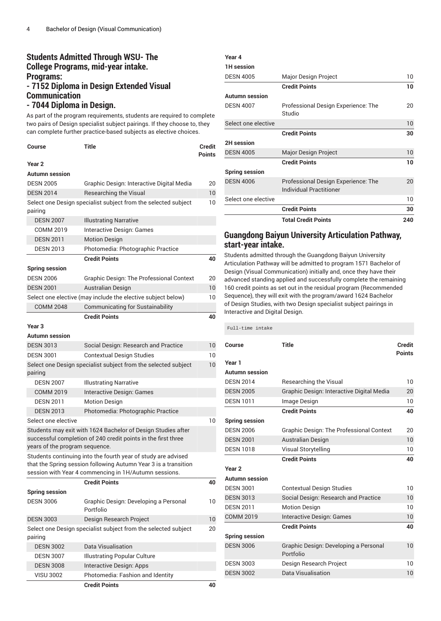# **Students Admitted Through WSU- The College Programs, mid-year intake. Programs: - 7152 Diploma in Design Extended Visual Communication - 7044 Diploma in Design.**

As part of the program requirements, students are required to complete two pairs of Design specialist subject pairings. If they choose to, they can complete further practice-based subjects as elective choices.

| Course                         | <b>Title</b>                                                                                                                                                                              | Credit<br><b>Points</b> |
|--------------------------------|-------------------------------------------------------------------------------------------------------------------------------------------------------------------------------------------|-------------------------|
| Year <sub>2</sub>              |                                                                                                                                                                                           |                         |
| <b>Autumn session</b>          |                                                                                                                                                                                           |                         |
| <b>DESN 2005</b>               | Graphic Design: Interactive Digital Media                                                                                                                                                 | 20                      |
| <b>DESN 2014</b>               | <b>Researching the Visual</b>                                                                                                                                                             | 10 <sup>°</sup>         |
| pairing                        | Select one Design specialist subject from the selected subject                                                                                                                            | 10                      |
| <b>DESN 2007</b>               | <b>Illustrating Narrative</b>                                                                                                                                                             |                         |
| <b>COMM 2019</b>               | <b>Interactive Design: Games</b>                                                                                                                                                          |                         |
| <b>DESN 2011</b>               | <b>Motion Design</b>                                                                                                                                                                      |                         |
| <b>DESN 2013</b>               | Photomedia: Photographic Practice                                                                                                                                                         |                         |
|                                | <b>Credit Points</b>                                                                                                                                                                      | 40                      |
| <b>Spring session</b>          |                                                                                                                                                                                           |                         |
| <b>DESN 2006</b>               | <b>Graphic Design: The Professional Context</b>                                                                                                                                           | 20                      |
| <b>DESN 2001</b>               | <b>Australian Design</b>                                                                                                                                                                  | 10                      |
|                                | Select one elective (may include the elective subject below)                                                                                                                              | 10                      |
| <b>COMM 2048</b>               | <b>Communicating for Sustainability</b>                                                                                                                                                   |                         |
|                                | <b>Credit Points</b>                                                                                                                                                                      | 40                      |
| Year <sub>3</sub>              |                                                                                                                                                                                           |                         |
| Autumn session                 |                                                                                                                                                                                           |                         |
| <b>DESN 3013</b>               | Social Design: Research and Practice                                                                                                                                                      | 10                      |
| <b>DESN 3001</b>               | <b>Contextual Design Studies</b>                                                                                                                                                          | 10                      |
| pairing                        | Select one Design specialist subject from the selected subject                                                                                                                            | 10                      |
| <b>DESN 2007</b>               | <b>Illustrating Narrative</b>                                                                                                                                                             |                         |
| <b>COMM 2019</b>               | Interactive Design: Games                                                                                                                                                                 |                         |
| <b>DESN 2011</b>               | <b>Motion Design</b>                                                                                                                                                                      |                         |
| <b>DESN 2013</b>               | Photomedia: Photographic Practice                                                                                                                                                         |                         |
| Select one elective            |                                                                                                                                                                                           | 10                      |
| years of the program sequence. | Students may exit with 1624 Bachelor of Design Studies after<br>successful completion of 240 credit points in the first three                                                             |                         |
|                                | Students continuing into the fourth year of study are advised<br>that the Spring session following Autumn Year 3 is a transition<br>session with Year 4 commencing in 1H/Autumn sessions. |                         |
|                                | <b>Credit Points</b>                                                                                                                                                                      | 40                      |
| <b>Spring session</b>          |                                                                                                                                                                                           |                         |
| <b>DESN 3006</b>               | Graphic Design: Developing a Personal<br>Portfolio                                                                                                                                        | 10                      |
| <b>DESN 3003</b>               | Design Research Project                                                                                                                                                                   | 10                      |
| pairing                        | Select one Design specialist subject from the selected subject                                                                                                                            | 20                      |
| <b>DESN 3002</b>               | Data Visualisation                                                                                                                                                                        |                         |
| <b>DESN 3007</b>               | <b>Illustrating Popular Culture</b>                                                                                                                                                       |                         |
| <b>DESN 3008</b>               | Interactive Design: Apps                                                                                                                                                                  |                         |
| <b>VISU 3002</b>               | Photomedia: Fashion and Identity                                                                                                                                                          |                         |

**Credit Points 40**

| Year 4                |                                                                       |     |
|-----------------------|-----------------------------------------------------------------------|-----|
| <b>1H</b> session     |                                                                       |     |
| <b>DESN 4005</b>      | Major Design Project                                                  | 10  |
|                       | <b>Credit Points</b>                                                  | 10  |
| <b>Autumn session</b> |                                                                       |     |
| <b>DESN 4007</b>      | Professional Design Experience: The<br>Studio                         | 20  |
| Select one elective   |                                                                       | 10  |
|                       | <b>Credit Points</b>                                                  | 30  |
| <b>2H</b> session     |                                                                       |     |
| <b>DESN 4005</b>      | <b>Major Design Project</b>                                           | 10  |
|                       | <b>Credit Points</b>                                                  | 10  |
| <b>Spring session</b> |                                                                       |     |
| <b>DESN 4006</b>      | Professional Design Experience: The<br><b>Individual Practitioner</b> | 20  |
| Select one elective   |                                                                       | 10  |
|                       | <b>Credit Points</b>                                                  | 30  |
|                       | <b>Total Credit Points</b>                                            | 240 |

# **Guangdong Baiyun University Articulation Pathway, start-year intake.**

Students admitted through the Guangdong Baiyun University Articulation Pathway will be admitted to program 1571 Bachelor of Design (Visual Communication) initially and, once they have their advanced standing applied and successfully complete the remaining 160 credit points as set out in the residual program (Recommended Sequence), they will exit with the program/award 1624 Bachelor of Design Studies, with two Design specialist subject pairings in Interactive and Digital Design.

Full-time intake **Course Title Credit Points Year 1 Autumn session** DESN 2014 Researching the Visual 10 DESN 2005 Graphic Design: Interactive Digital Media 20 DESN 1011 Image Design 10 **Credit Points 40 Spring session** DESN 2006 Graphic Design: The Professional Context 20 DESN 2001 Australian Design 10 DESN 1018 Visual Storytelling 10 **Credit Points 40 Year 2 Autumn session** DESN 3001 Contextual Design Studies 10 DESN 3013 Social Design: Research and Practice 10 DESN 2011 Motion Design 10 COMM 2019 Interactive Design: Games 10 **Credit Points 40 Spring session** DESN 3006 Graphic Design: Developing a Personal Portfolio 10 DESN 3003 Design Research Project 10 DESN 3002 Data Visualisation 10